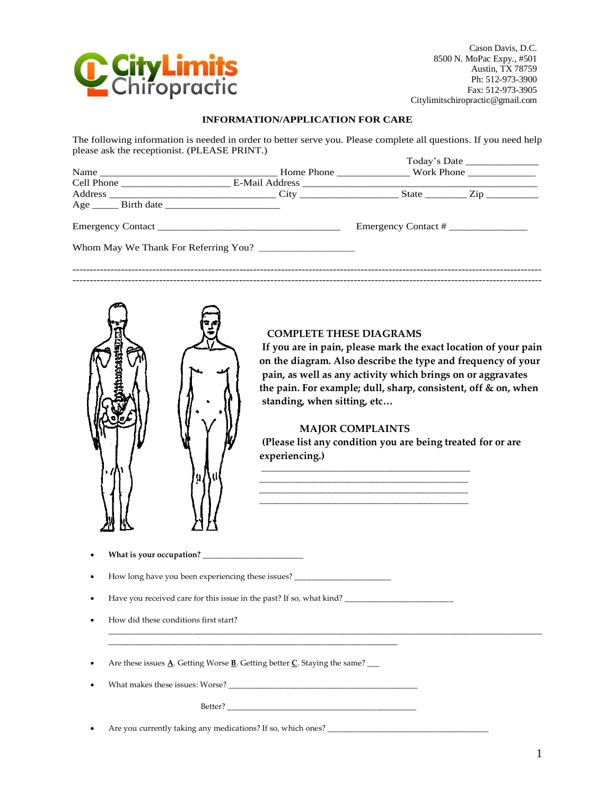

Cason Davis, D.C. 8500 N. MoPac Expy., #501 Austin, TX 78759 Ph: 512-973-3900 Fax: 512-973-3905 Citylimitschiropractic@gmail.com

|                                                    |    | <b>INFORMATION/APPLICATION FOR CARE</b>                                                                                                                                                        |                                                                                                                                                                                                                                                                                                                                 |  |
|----------------------------------------------------|----|------------------------------------------------------------------------------------------------------------------------------------------------------------------------------------------------|---------------------------------------------------------------------------------------------------------------------------------------------------------------------------------------------------------------------------------------------------------------------------------------------------------------------------------|--|
| please ask the receptionist. (PLEASE PRINT.)       |    |                                                                                                                                                                                                | The following information is needed in order to better serve you. Please complete all questions. If you need help<br>Today's Date ______________                                                                                                                                                                                |  |
|                                                    |    |                                                                                                                                                                                                |                                                                                                                                                                                                                                                                                                                                 |  |
|                                                    |    |                                                                                                                                                                                                |                                                                                                                                                                                                                                                                                                                                 |  |
|                                                    |    |                                                                                                                                                                                                |                                                                                                                                                                                                                                                                                                                                 |  |
|                                                    |    |                                                                                                                                                                                                |                                                                                                                                                                                                                                                                                                                                 |  |
|                                                    |    |                                                                                                                                                                                                |                                                                                                                                                                                                                                                                                                                                 |  |
|                                                    | 9. | <b>COMPLETE THESE DIAGRAMS</b><br>standing, when sitting, etc<br><b>MAJOR COMPLAINTS</b><br>experiencing.)<br>How long have you been experiencing these issues? ______________________________ | If you are in pain, please mark the exact location of your pain<br>on the diagram. Also describe the type and frequency of your<br>pain, as well as any activity which brings on or aggravates<br>the pain. For example; dull, sharp, consistent, off & on, when<br>(Please list any condition you are being treated for or are |  |
| ٠                                                  |    |                                                                                                                                                                                                |                                                                                                                                                                                                                                                                                                                                 |  |
|                                                    |    |                                                                                                                                                                                                |                                                                                                                                                                                                                                                                                                                                 |  |
| How did these conditions first start?<br>$\bullet$ |    |                                                                                                                                                                                                |                                                                                                                                                                                                                                                                                                                                 |  |
| $\bullet$                                          |    | Are these issues $\underline{\mathbf{A}}$ . Getting Worse $\underline{\mathbf{B}}$ . Getting better $\underline{\mathbf{C}}$ . Staying the same? ___                                           |                                                                                                                                                                                                                                                                                                                                 |  |
|                                                    |    |                                                                                                                                                                                                |                                                                                                                                                                                                                                                                                                                                 |  |
|                                                    |    |                                                                                                                                                                                                |                                                                                                                                                                                                                                                                                                                                 |  |
|                                                    |    |                                                                                                                                                                                                |                                                                                                                                                                                                                                                                                                                                 |  |



# **COMPLETE THESE DIAGRAMS**

## **MAJOR COMPLAINTS**

- **What is your occupation? \_\_\_\_\_\_\_\_\_\_\_\_\_\_\_\_\_\_\_\_\_\_\_\_\_**
- How long have you been experiencing these issues? \_\_\_\_\_\_\_\_\_\_\_\_\_\_\_\_\_\_\_\_\_\_\_\_\_\_\_\_\_\_

- How did these conditions first start?
- Are these issues **A**. Getting Worse **B**. Getting better **C**. Staying the same? \_\_\_